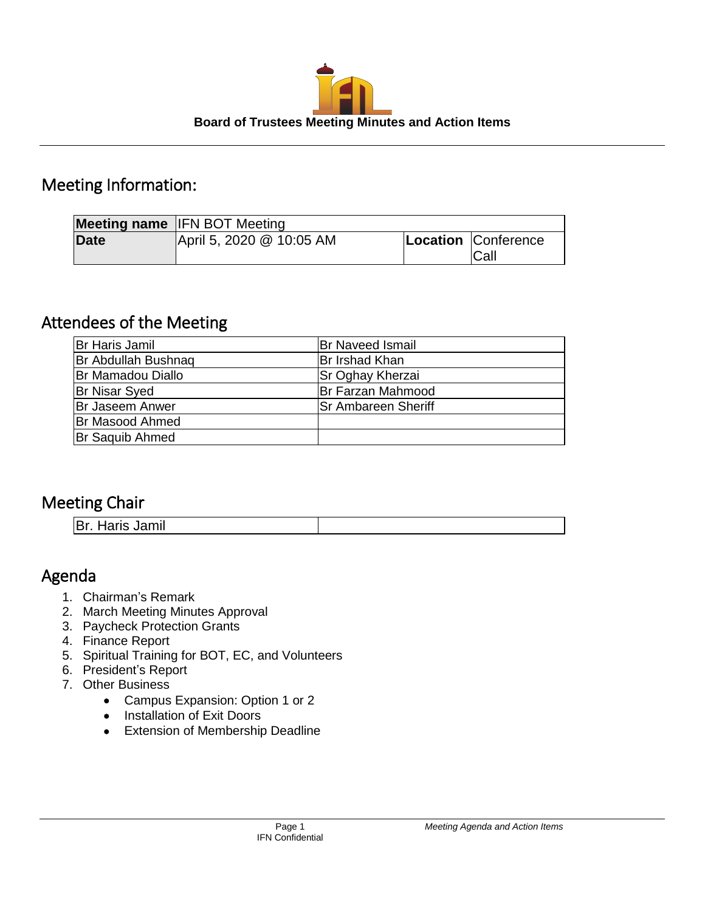

# Meeting Information:

|             | <b>Meeting name IFN BOT Meeting</b> |                                    |
|-------------|-------------------------------------|------------------------------------|
| <b>Date</b> | April 5, 2020 @ 10:05 AM            | Location Conference<br><b>Call</b> |

# Attendees of the Meeting

| Br Haris Jamil         | <b>Br Naveed Ismail</b>    |
|------------------------|----------------------------|
| Br Abdullah Bushnaq    | Br Irshad Khan             |
| Br Mamadou Diallo      | Sr Oghay Kherzai           |
| <b>Br Nisar Syed</b>   | Br Farzan Mahmood          |
| <b>Br Jaseem Anwer</b> | <b>Sr Ambareen Sheriff</b> |
| <b>Br Masood Ahmed</b> |                            |
| <b>Br Saquib Ahmed</b> |                            |

# Meeting Chair

Br. Haris Jamil

# Agenda

- 1. Chairman's Remark
- 2. March Meeting Minutes Approval
- 3. Paycheck Protection Grants
- 4. Finance Report
- 5. Spiritual Training for BOT, EC, and Volunteers
- 6. President's Report
- 7. Other Business
	- Campus Expansion: Option 1 or 2
	- Installation of Exit Doors
	- Extension of Membership Deadline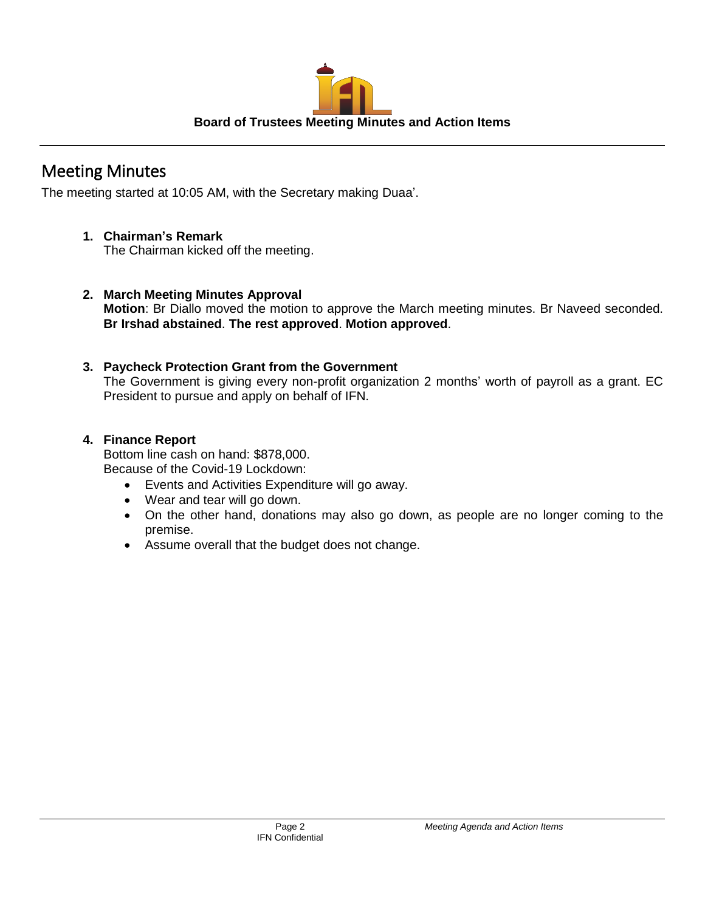

# Meeting Minutes

The meeting started at 10:05 AM, with the Secretary making Duaa'.

# **1. Chairman's Remark**

The Chairman kicked off the meeting.

# **2. March Meeting Minutes Approval**

**Motion**: Br Diallo moved the motion to approve the March meeting minutes. Br Naveed seconded. **Br Irshad abstained**. **The rest approved**. **Motion approved**.

## **3. Paycheck Protection Grant from the Government**

The Government is giving every non-profit organization 2 months' worth of payroll as a grant. EC President to pursue and apply on behalf of IFN.

## **4. Finance Report**

Bottom line cash on hand: \$878,000. Because of the Covid-19 Lockdown:

- Events and Activities Expenditure will go away.
- Wear and tear will go down.
- On the other hand, donations may also go down, as people are no longer coming to the premise.
- Assume overall that the budget does not change.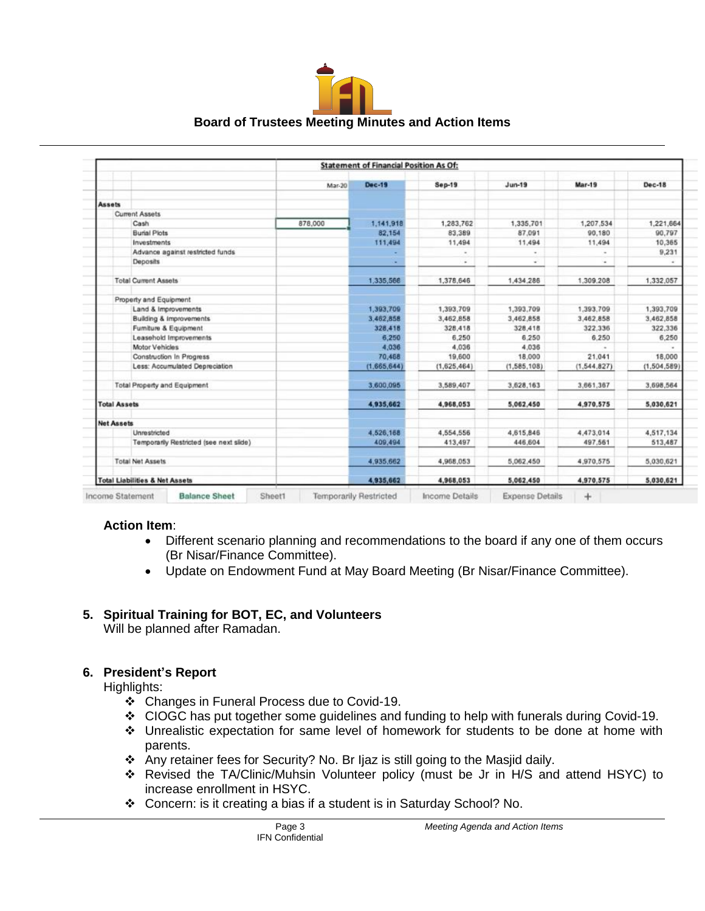

|                                           |        | <b>Statement of Financial Position As Of:</b> |                      |             |               |                     |  |  |  |  |
|-------------------------------------------|--------|-----------------------------------------------|----------------------|-------------|---------------|---------------------|--|--|--|--|
|                                           | Mar-20 | <b>Dec-19</b>                                 | <b>Sep-19</b>        | $Jun-19$    | <b>Mar-19</b> | <b>Dec-18</b>       |  |  |  |  |
| <b>Assets</b>                             |        |                                               |                      |             |               |                     |  |  |  |  |
| <b>Current Assets</b>                     |        |                                               |                      |             |               |                     |  |  |  |  |
|                                           |        | 1,141,918                                     | 1,283,762            | 1,335,701   | 1,207,534     |                     |  |  |  |  |
| Cash<br>878,000                           |        | 82,154                                        | 83,389               | 87.091      | 90,180        | 1,221,664<br>90,797 |  |  |  |  |
| <b>Burial Plots</b>                       |        |                                               |                      | 11,494      |               |                     |  |  |  |  |
| Investments                               |        | 111,494                                       | 11,494               |             | 11,494        | 10,365              |  |  |  |  |
| Advance against restricted funds          |        |                                               | $\sim$               | ٠           | $\sim$        | 9,231               |  |  |  |  |
| Deposits                                  |        | ۰                                             | $\ddot{\phantom{1}}$ | w.          | $\sim$        | $\omega$            |  |  |  |  |
| <b>Total Current Assets</b>               |        | 1,335,566                                     | 1,378,646            | 1,434,286   | 1,309,208     | 1,332,057           |  |  |  |  |
| Property and Equipment                    |        |                                               |                      |             |               |                     |  |  |  |  |
| Land & Improvements                       |        | 1,393,709                                     | 1,393,709            | 1,393,709   | 1,393,709     | 1,393,709           |  |  |  |  |
| Building & Improvements                   |        | 3.462,858                                     | 3,462,858            | 3,462,858   | 3,462,858     | 3,462,858           |  |  |  |  |
| Fumiture & Equipment                      |        | 328,418                                       | 328,418              | 328,418     | 322,336       | 322,336             |  |  |  |  |
| Leasehold Improvements                    |        | 6,250                                         | 6,250                | 6.250       | 6.250         | 6,250               |  |  |  |  |
| Motor Vehicles                            |        | 4,036                                         | 4,036                | 4,036       |               |                     |  |  |  |  |
| Construction In Progress                  |        | 70,458                                        | 19,600               | 18,000      | 21.041        | 18,000              |  |  |  |  |
| Less: Accumulated Depreciation            |        | (1.665, 644)                                  | (1,625,464)          | (1,585,108) | (1, 544, 827) | (1.504, 589)        |  |  |  |  |
| <b>Total Property and Equipment</b>       |        | 3,600,095                                     | 3,589,407            | 3,628,163   | 3,661,367     | 3,698,564           |  |  |  |  |
| <b>Total Assets</b>                       |        | 4,935,662                                     | 4,968,053            | 5,062,450   | 4,970,575     | 5,030,621           |  |  |  |  |
| <b>Net Assets</b>                         |        |                                               |                      |             |               |                     |  |  |  |  |
| Unrestricted                              |        | 4,526,158                                     | 4,554,556            | 4,615,846   | 4,473,014     | 4,517,134           |  |  |  |  |
| Temporarily Restricted (see next slide)   |        | 409,494                                       | 413,497              | 446,604     | 497,561       | 513,487             |  |  |  |  |
| <b>Total Net Assets</b>                   |        | 4.935,662                                     | 4,968,053            | 5,062,450   | 4,970,575     | 5,030,621           |  |  |  |  |
| <b>Total Liabilities &amp; Net Assets</b> |        | 4,935,662                                     | 4,968,053            | 5,062,450   | 4,970,575     | 5.030.621           |  |  |  |  |

#### **Action Item**:

- Different scenario planning and recommendations to the board if any one of them occurs (Br Nisar/Finance Committee).
- Update on Endowment Fund at May Board Meeting (Br Nisar/Finance Committee).

## **5. Spiritual Training for BOT, EC, and Volunteers**

Will be planned after Ramadan.

## **6. President's Report**

Highlights:

- ❖ Changes in Funeral Process due to Covid-19.
- ❖ CIOGC has put together some guidelines and funding to help with funerals during Covid-19.
- ❖ Unrealistic expectation for same level of homework for students to be done at home with parents.
- ❖ Any retainer fees for Security? No. Br Ijaz is still going to the Masjid daily.
- ❖ Revised the TA/Clinic/Muhsin Volunteer policy (must be Jr in H/S and attend HSYC) to increase enrollment in HSYC.
- ❖ Concern: is it creating a bias if a student is in Saturday School? No.